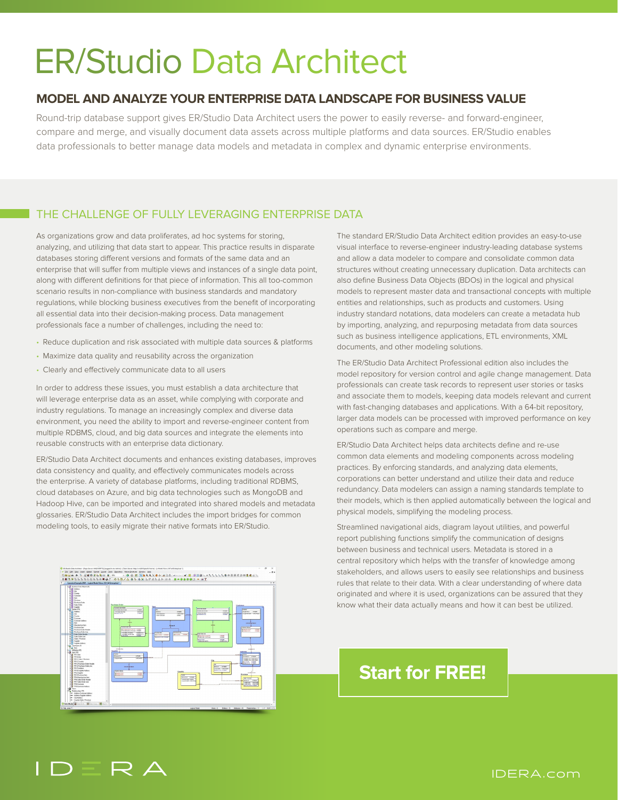# ER/Studio Data Architect

## **MODEL AND ANALYZE YOUR ENTERPRISE DATA LANDSCAPE FOR BUSINESS VALUE**

Round-trip database support gives ER/Studio Data Architect users the power to easily reverse- and forward-engineer, compare and merge, and visually document data assets across multiple platforms and data sources. ER/Studio enables data professionals to better manage data models and metadata in complex and dynamic enterprise environments.

### THE CHALLENGE OF FULLY LEVERAGING ENTERPRISE DATA

As organizations grow and data proliferates, ad hoc systems for storing, analyzing, and utilizing that data start to appear. This practice results in disparate databases storing different versions and formats of the same data and an enterprise that will suffer from multiple views and instances of a single data point, along with different definitions for that piece of information. This all too-common scenario results in non-compliance with business standards and mandatory regulations, while blocking business executives from the benefit of incorporating all essential data into their decision-making process. Data management professionals face a number of challenges, including the need to:

- Reduce duplication and risk associated with multiple data sources & platforms
- Maximize data quality and reusability across the organization
- Clearly and effectively communicate data to all users

In order to address these issues, you must establish a data architecture that will leverage enterprise data as an asset, while complying with corporate and industry regulations. To manage an increasingly complex and diverse data environment, you need the ability to import and reverse-engineer content from multiple RDBMS, cloud, and big data sources and integrate the elements into reusable constructs with an enterprise data dictionary.

ER/Studio Data Architect documents and enhances existing databases, improves data consistency and quality, and effectively communicates models across the enterprise. A variety of database platforms, including traditional RDBMS, cloud databases on Azure, and big data technologies such as MongoDB and Hadoop Hive, can be imported and integrated into shared models and metadata glossaries. ER/Studio Data Architect includes the import bridges for common modeling tools, to easily migrate their native formats into ER/Studio.



The standard ER/Studio Data Architect edition provides an easy-to-use visual interface to reverse-engineer industry-leading database systems and allow a data modeler to compare and consolidate common data structures without creating unnecessary duplication. Data architects can also define Business Data Objects (BDOs) in the logical and physical models to represent master data and transactional concepts with multiple entities and relationships, such as products and customers. Using industry standard notations, data modelers can create a metadata hub by importing, analyzing, and repurposing metadata from data sources such as business intelligence applications, ETL environments, XML documents, and other modeling solutions.

The ER/Studio Data Architect Professional edition also includes the model repository for version control and agile change management. Data professionals can create task records to represent user stories or tasks and associate them to models, keeping data models relevant and current with fast-changing databases and applications. With a 64-bit repository, larger data models can be processed with improved performance on key operations such as compare and merge.

ER/Studio Data Architect helps data architects define and re-use common data elements and modeling components across modeling practices. By enforcing standards, and analyzing data elements, corporations can better understand and utilize their data and reduce redundancy. Data modelers can assign a naming standards template to their models, which is then applied automatically between the logical and physical models, simplifying the modeling process.

Streamlined navigational aids, diagram layout utilities, and powerful report publishing functions simplify the communication of designs between business and technical users. Metadata is stored in a central repository which helps with the transfer of knowledge among stakeholders, and allows users to easily see relationships and business rules that relate to their data. With a clear understanding of where data originated and where it is used, organizations can be assured that they know what their data actually means and how it can best be utilized.

# **[Start for FREE!](https://www.idera.com/er-studio-data-architect-software/select-erstudio-data-architect-edition?utm_medium=inasset&utm_source=datasheet&utm_content=pdf&utm_campaign=emberarchitect)**

#### IDERA.com